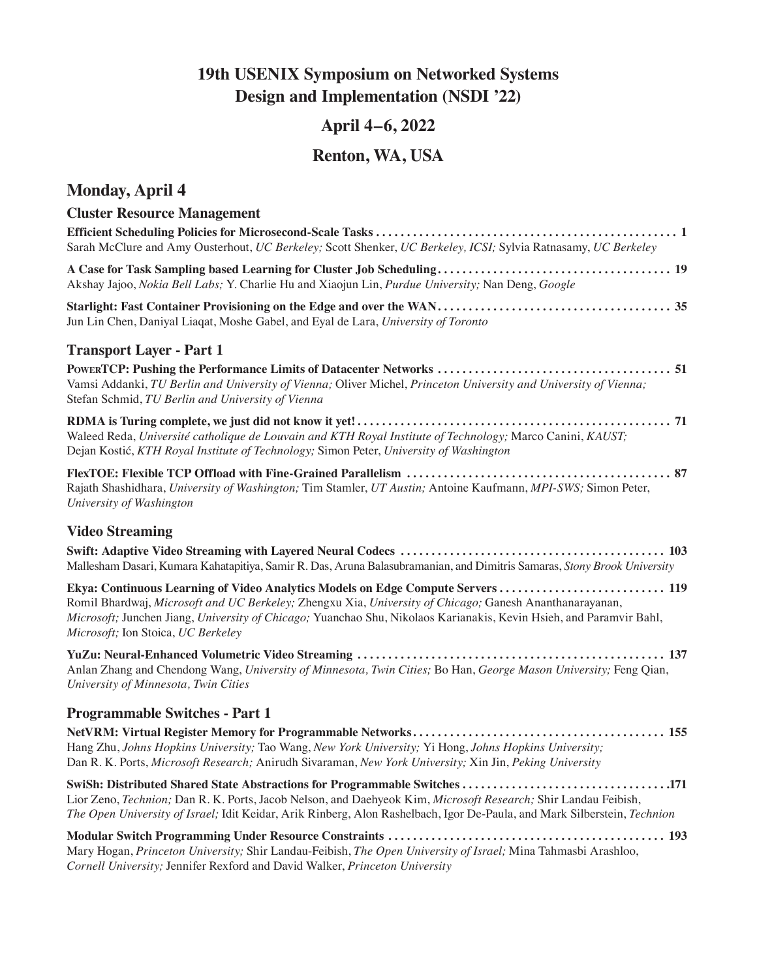## **19th USENIX Symposium on Networked Systems Design and Implementation (NSDI '22)**

## **April 4–6, 2022**

## **Renton, WA, USA**

### **Monday, April 4**

### **Cluster Resource Management Efficient Scheduling Policies for Microsecond-Scale Tasks . . . . . . . . . . . . . . . . . . . . . . . . . . . . . . . . . . . . . . . . . . . . . . . . . 1** Sarah McClure and Amy Ousterhout, *UC Berkeley;* Scott Shenker, *UC Berkeley, ICSI;* Sylvia Ratnasamy, *UC Berkeley* **A Case for Task Sampling based Learning for Cluster Job Scheduling . . . . . . . . . . . . . . . . . . . . . . . . . . . . . . . . . . . . . . 19** Akshay Jajoo, *Nokia Bell Labs;* Y. Charlie Hu and Xiaojun Lin, *Purdue University;* Nan Deng, *Google* **Starlight: Fast Container Provisioning on the Edge and over the WAN . . . . . . . . . . . . . . . . . . . . . . . . . . . . . . . . . . . . . . 35** Jun Lin Chen, Daniyal Liaqat, Moshe Gabel, and Eyal de Lara, *University of Toronto* **Transport Layer - Part 1 PowerTCP: Pushing the Performance Limits of Datacenter Networks . . . . . . . . . . . . . . . . . . . . . . . . . . . . . . . . . . . . . . 51** Vamsi Addanki, *TU Berlin and University of Vienna;* Oliver Michel, *Princeton University and University of Vienna;*  Stefan Schmid, *TU Berlin and University of Vienna* **RDMA is Turing complete, we just did not know it yet! . . . . . . . . . . . . . . . . . . . . . . . . . . . . . . . . . . . . . . . . . . . . . . . . . . . 71** Waleed Reda, *Université catholique de Louvain and KTH Royal Institute of Technology;* Marco Canini, *KAUST;*  Dejan Kostić, *KTH Royal Institute of Technology;* Simon Peter, *University of Washington* **FlexTOE: Flexible TCP Offload with Fine-Grained Parallelism . . . . . . . . . . . . . . . . . . . . . . . . . . . . . . . . . . . . . . . . . . . 87** Rajath Shashidhara, *University of Washington;* Tim Stamler, *UT Austin;* Antoine Kaufmann, *MPI-SWS;* Simon Peter, *University of Washington* **Video Streaming Swift: Adaptive Video Streaming with Layered Neural Codecs . . . . . . . . . . . . . . . . . . . . . . . . . . . . . . . . . . . . . . . . . . . 103** Mallesham Dasari, Kumara Kahatapitiya, Samir R. Das, Aruna Balasubramanian, and Dimitris Samaras, *Stony Brook University* **Ekya: Continuous Learning of Video Analytics Models on Edge Compute Servers . . . . . . . . . . . . . . . . . . . . . . . . . . . 119** Romil Bhardwaj, *Microsoft and UC Berkeley;* Zhengxu Xia, *University of Chicago;* Ganesh Ananthanarayanan, *Microsoft;* Junchen Jiang, *University of Chicago;* Yuanchao Shu, Nikolaos Karianakis, Kevin Hsieh, and Paramvir Bahl, *Microsoft;* Ion Stoica, *UC Berkeley* **YuZu: Neural-Enhanced Volumetric Video Streaming . . . . . . . . . . . . . . . . . . . . . . . . . . . . . . . . . . . . . . . . . . . . . . . . . . 137** Anlan Zhang and Chendong Wang, *University of Minnesota, Twin Cities;* Bo Han, *George Mason University;* Feng Qian, *University of Minnesota, Twin Cities* **Programmable Switches - Part 1 NetVRM: Virtual Register Memory for Programmable Networks . . . . . . . . . . . . . . . . . . . . . . . . . . . . . . . . . . . . . . . . . 155** Hang Zhu, *Johns Hopkins University;* Tao Wang, *New York University;* Yi Hong, *Johns Hopkins University;*  Dan R. K. Ports, *Microsoft Research;* Anirudh Sivaraman, *New York University;* Xin Jin, *Peking University* **SwiSh: Distributed Shared State Abstractions for Programmable Switches . . . . . . . . . . . . . . . . . . . . . . . . . . . . . . . . . 171** Lior Zeno, *Technion;* Dan R. K. Ports, Jacob Nelson, and Daehyeok Kim, *Microsoft Research;* Shir Landau Feibish, *The Open University of Israel;* Idit Keidar, Arik Rinberg, Alon Rashelbach, Igor De-Paula, and Mark Silberstein, *Technion* **Modular Switch Programming Under Resource Constraints . . . . . . . . . . . . . . . . . . . . . . . . . . . . . . . . . . . . . . . . . . . . . 193** Mary Hogan, *Princeton University;* Shir Landau-Feibish, *The Open University of Israel;* Mina Tahmasbi Arashloo,

*Cornell University;* Jennifer Rexford and David Walker, *Princeton University*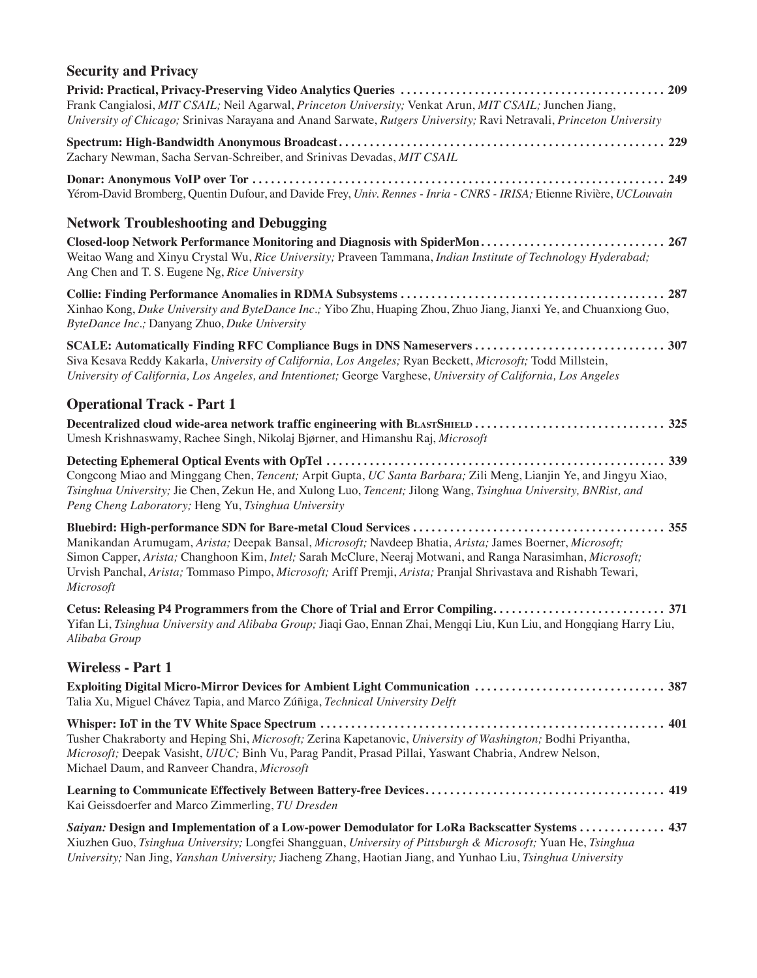## **Security and Privacy**

| Frank Cangialosi, MIT CSAIL; Neil Agarwal, Princeton University; Venkat Arun, MIT CSAIL; Junchen Jiang,<br>University of Chicago; Srinivas Narayana and Anand Sarwate, Rutgers University; Ravi Netravali, Princeton University                                                                                                                         |
|---------------------------------------------------------------------------------------------------------------------------------------------------------------------------------------------------------------------------------------------------------------------------------------------------------------------------------------------------------|
| Zachary Newman, Sacha Servan-Schreiber, and Srinivas Devadas, MIT CSAIL                                                                                                                                                                                                                                                                                 |
| Yérom-David Bromberg, Quentin Dufour, and Davide Frey, Univ. Rennes - Inria - CNRS - IRISA; Etienne Rivière, UCLouvain                                                                                                                                                                                                                                  |
| <b>Network Troubleshooting and Debugging</b>                                                                                                                                                                                                                                                                                                            |
| Closed-loop Network Performance Monitoring and Diagnosis with SpiderMon 267<br>Weitao Wang and Xinyu Crystal Wu, Rice University; Praveen Tammana, Indian Institute of Technology Hyderabad;<br>Ang Chen and T. S. Eugene Ng, Rice University                                                                                                           |
| Xinhao Kong, Duke University and ByteDance Inc.; Yibo Zhu, Huaping Zhou, Zhuo Jiang, Jianxi Ye, and Chuanxiong Guo,<br>ByteDance Inc.; Danyang Zhuo, Duke University                                                                                                                                                                                    |
| Siva Kesava Reddy Kakarla, University of California, Los Angeles; Ryan Beckett, Microsoft; Todd Millstein,<br>University of California, Los Angeles, and Intentionet; George Varghese, University of California, Los Angeles                                                                                                                            |
| <b>Operational Track - Part 1</b>                                                                                                                                                                                                                                                                                                                       |
| Decentralized cloud wide-area network traffic engineering with BLASTSHIELD  325<br>Umesh Krishnaswamy, Rachee Singh, Nikolaj Bjørner, and Himanshu Raj, Microsoft                                                                                                                                                                                       |
| Congcong Miao and Minggang Chen, <i>Tencent</i> ; Arpit Gupta, UC Santa Barbara; Zili Meng, Lianjin Ye, and Jingyu Xiao,<br>Tsinghua University; Jie Chen, Zekun He, and Xulong Luo, Tencent; Jilong Wang, Tsinghua University, BNRist, and<br>Peng Cheng Laboratory; Heng Yu, Tsinghua University                                                      |
| Manikandan Arumugam, Arista; Deepak Bansal, Microsoft; Navdeep Bhatia, Arista; James Boerner, Microsoft;<br>Simon Capper, Arista; Changhoon Kim, Intel; Sarah McClure, Neeraj Motwani, and Ranga Narasimhan, Microsoft;<br>Urvish Panchal, Arista; Tommaso Pimpo, Microsoft; Ariff Premji, Arista; Pranjal Shrivastava and Rishabh Tewari,<br>Microsoft |
| Yifan Li, Tsinghua University and Alibaba Group; Jiaqi Gao, Ennan Zhai, Mengqi Liu, Kun Liu, and Hongqiang Harry Liu,<br>Alibaba Group                                                                                                                                                                                                                  |
| <b>Wireless - Part 1</b>                                                                                                                                                                                                                                                                                                                                |
| Exploiting Digital Micro-Mirror Devices for Ambient Light Communication  387<br>Talia Xu, Miguel Chávez Tapia, and Marco Zúñiga, Technical University Delft                                                                                                                                                                                             |
| Tusher Chakraborty and Heping Shi, Microsoft; Zerina Kapetanovic, University of Washington; Bodhi Priyantha,<br>Microsoft; Deepak Vasisht, UIUC; Binh Vu, Parag Pandit, Prasad Pillai, Yaswant Chabria, Andrew Nelson,<br>Michael Daum, and Ranveer Chandra, Microsoft                                                                                  |
| Kai Geissdoerfer and Marco Zimmerling, TU Dresden                                                                                                                                                                                                                                                                                                       |
| Saiyan: Design and Implementation of a Low-power Demodulator for LoRa Backscatter Systems  437<br>Xiuzhen Guo, Tsinghua University; Longfei Shangguan, University of Pittsburgh & Microsoft; Yuan He, Tsinghua                                                                                                                                          |

*University;* Nan Jing, *Yanshan University;* Jiacheng Zhang, Haotian Jiang, and Yunhao Liu, *Tsinghua University*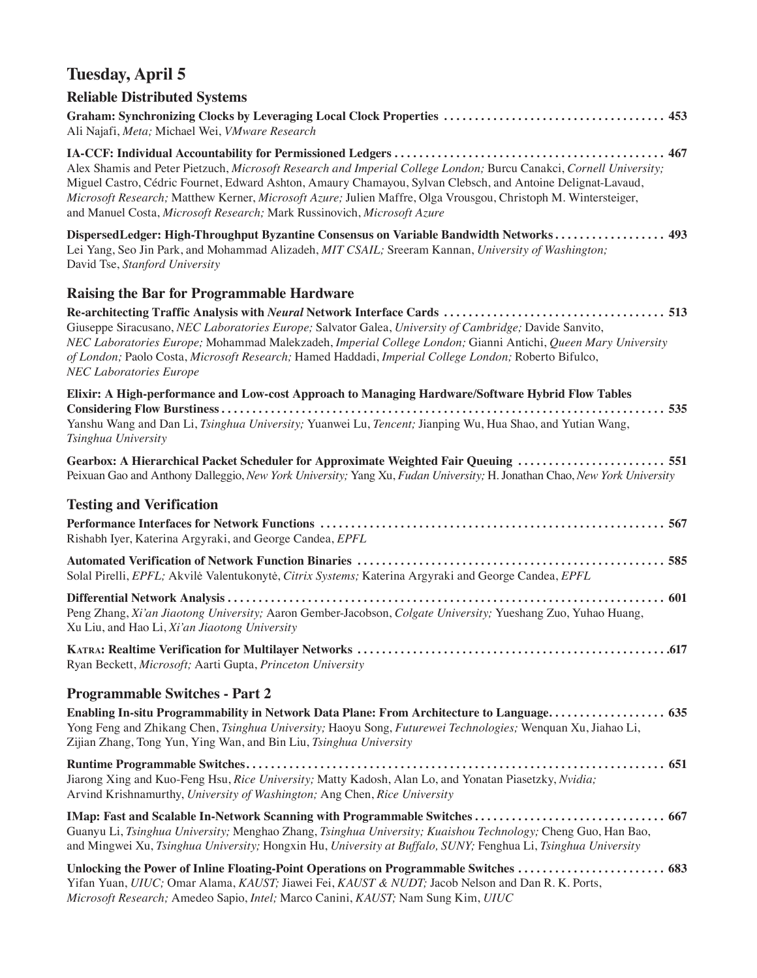# **Tuesday, April 5**

## **Reliable Distributed Systems**

| Ali Najafi, Meta; Michael Wei, VMware Research                                                                                                                                                                                                                                                                                                                                                                                 |
|--------------------------------------------------------------------------------------------------------------------------------------------------------------------------------------------------------------------------------------------------------------------------------------------------------------------------------------------------------------------------------------------------------------------------------|
| Alex Shamis and Peter Pietzuch, Microsoft Research and Imperial College London; Burcu Canakci, Cornell University;<br>Miguel Castro, Cédric Fournet, Edward Ashton, Amaury Chamayou, Sylvan Clebsch, and Antoine Delignat-Lavaud,<br>Microsoft Research; Matthew Kerner, Microsoft Azure; Julien Maffre, Olga Vrousgou, Christoph M. Wintersteiger,<br>and Manuel Costa, Microsoft Research; Mark Russinovich, Microsoft Azure |
| DispersedLedger: High-Throughput Byzantine Consensus on Variable Bandwidth Networks 493<br>Lei Yang, Seo Jin Park, and Mohammad Alizadeh, MIT CSAIL; Sreeram Kannan, University of Washington;<br>David Tse, Stanford University                                                                                                                                                                                               |
| <b>Raising the Bar for Programmable Hardware</b>                                                                                                                                                                                                                                                                                                                                                                               |
| Giuseppe Siracusano, NEC Laboratories Europe; Salvator Galea, University of Cambridge; Davide Sanvito,<br>NEC Laboratories Europe; Mohammad Malekzadeh, Imperial College London; Gianni Antichi, Queen Mary University<br>of London; Paolo Costa, Microsoft Research; Hamed Haddadi, Imperial College London; Roberto Bifulco,<br><b>NEC Laboratories Europe</b>                                                               |
| Elixir: A High-performance and Low-cost Approach to Managing Hardware/Software Hybrid Flow Tables                                                                                                                                                                                                                                                                                                                              |
| Yanshu Wang and Dan Li, Tsinghua University; Yuanwei Lu, Tencent; Jianping Wu, Hua Shao, and Yutian Wang,<br>Tsinghua University                                                                                                                                                                                                                                                                                               |
| Gearbox: A Hierarchical Packet Scheduler for Approximate Weighted Fair Queuing  551<br>Peixuan Gao and Anthony Dalleggio, New York University; Yang Xu, Fudan University; H. Jonathan Chao, New York University                                                                                                                                                                                                                |
| <b>Testing and Verification</b>                                                                                                                                                                                                                                                                                                                                                                                                |
| Rishabh Iyer, Katerina Argyraki, and George Candea, EPFL                                                                                                                                                                                                                                                                                                                                                                       |
| Solal Pirelli, EPFL; Akvilė Valentukonytė, Citrix Systems; Katerina Argyraki and George Candea, EPFL                                                                                                                                                                                                                                                                                                                           |
| Peng Zhang, Xi'an Jiaotong University; Aaron Gember-Jacobson, Colgate University; Yueshang Zuo, Yuhao Huang,<br>Xu Liu, and Hao Li, Xi'an Jiaotong University                                                                                                                                                                                                                                                                  |
| Ryan Beckett, <i>Microsoft</i> ; Aarti Gupta, <i>Princeton University</i>                                                                                                                                                                                                                                                                                                                                                      |
| <b>Programmable Switches - Part 2</b>                                                                                                                                                                                                                                                                                                                                                                                          |
| Enabling In-situ Programmability in Network Data Plane: From Architecture to Language 635<br>Yong Feng and Zhikang Chen, Tsinghua University; Haoyu Song, Futurewei Technologies; Wenquan Xu, Jiahao Li,<br>Zijian Zhang, Tong Yun, Ying Wan, and Bin Liu, Tsinghua University                                                                                                                                                 |
| Jiarong Xing and Kuo-Feng Hsu, Rice University; Matty Kadosh, Alan Lo, and Yonatan Piasetzky, Nvidia;<br>Arvind Krishnamurthy, University of Washington; Ang Chen, Rice University                                                                                                                                                                                                                                             |
| Guanyu Li, Tsinghua University; Menghao Zhang, Tsinghua University; Kuaishou Technology; Cheng Guo, Han Bao,<br>and Mingwei Xu, Tsinghua University; Hongxin Hu, University at Buffalo, SUNY; Fenghua Li, Tsinghua University                                                                                                                                                                                                  |
| Unlocking the Power of Inline Floating-Point Operations on Programmable Switches  683<br>Yifan Yuan, UIUC; Omar Alama, KAUST; Jiawei Fei, KAUST & NUDT; Jacob Nelson and Dan R. K. Ports,                                                                                                                                                                                                                                      |

*Microsoft Research;* Amedeo Sapio, *Intel;* Marco Canini, *KAUST;* Nam Sung Kim, *UIUC*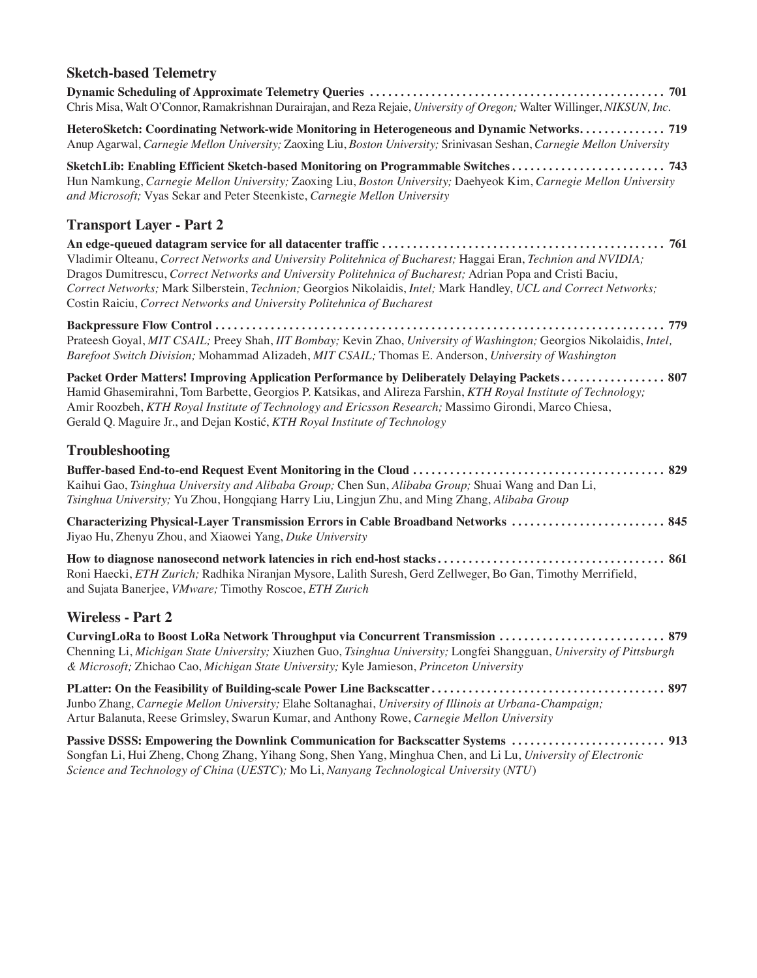### **Sketch-based Telemetry Dynamic Scheduling of Approximate Telemetry Queries . . . . . . . . . . . . . . . . . . . . . . . . . . . . . . . . . . . . . . . . . . . . . . . . 701** Chris Misa, Walt O'Connor, Ramakrishnan Durairajan, and Reza Rejaie, *University of Oregon;* Walter Willinger, *NIKSUN, Inc.*  **HeteroSketch: Coordinating Network-wide Monitoring in Heterogeneous and Dynamic Networks . . . . . . . . . . . . . . 719** Anup Agarwal, *Carnegie Mellon University;* Zaoxing Liu, *Boston University;* Srinivasan Seshan, *Carnegie Mellon University* **SketchLib: Enabling Efficient Sketch-based Monitoring on Programmable Switches . . . . . . . . . . . . . . . . . . . . . . . . . 743** Hun Namkung, *Carnegie Mellon University;* Zaoxing Liu, *Boston University;* Daehyeok Kim, *Carnegie Mellon University and Microsoft;* Vyas Sekar and Peter Steenkiste, *Carnegie Mellon University* **Transport Layer - Part 2 An edge-queued datagram service for all datacenter traffic . . . . . . . . . . . . . . . . . . . . . . . . . . . . . . . . . . . . . . . . . . . . . . 761** Vladimir Olteanu, *Correct Networks and University Politehnica of Bucharest;* Haggai Eran, *Technion and NVIDIA;*  Dragos Dumitrescu, *Correct Networks and University Politehnica of Bucharest;* Adrian Popa and Cristi Baciu, *Correct Networks;* Mark Silberstein, *Technion;* Georgios Nikolaidis, *Intel;* Mark Handley, *UCL and Correct Networks;*  Costin Raiciu, *Correct Networks and University Politehnica of Bucharest* **Backpressure Flow Control . . . . . . . . . . . . . . . . . . . . . . . . . . . . . . . . . . . . . . . . . . . . . . . . . . . . . . . . . . . . . . . . . . . . . . . . . 779** Prateesh Goyal, *MIT CSAIL;* Preey Shah, *IIT Bombay;* Kevin Zhao, *University of Washington;* Georgios Nikolaidis, *Intel, Barefoot Switch Division;* Mohammad Alizadeh, *MIT CSAIL;* Thomas E. Anderson, *University of Washington*  **Packet Order Matters! Improving Application Performance by Deliberately Delaying Packets . . . . . . . . . . . . . . . . 807** Hamid Ghasemirahni, Tom Barbette, Georgios P. Katsikas, and Alireza Farshin, *KTH Royal Institute of Technology;*  Amir Roozbeh, *KTH Royal Institute of Technology and Ericsson Research;* Massimo Girondi, Marco Chiesa, Gerald Q. Maguire Jr., and Dejan Kostić, *KTH Royal Institute of Technology* **Troubleshooting Buffer-based End-to-end Request Event Monitoring in the Cloud . . . . . . . . . . . . . . . . . . . . . . . . . . . . . . . . . . . . . . . . . 829** Kaihui Gao, *Tsinghua University and Alibaba Group;* Chen Sun, *Alibaba Group;* Shuai Wang and Dan Li, *Tsinghua University;* Yu Zhou, Hongqiang Harry Liu, Lingjun Zhu, and Ming Zhang, *Alibaba Group* **Characterizing Physical-Layer Transmission Errors in Cable Broadband Networks . . . . . . . . . . . . . . . . . . . . . . . . . 845** Jiyao Hu, Zhenyu Zhou, and Xiaowei Yang, *Duke University* **How to diagnose nanosecond network latencies in rich end-host stacks . . . . . . . . . . . . . . . . . . . . . . . . . . . . . . . . . . . . . 861** Roni Haecki, *ETH Zurich;* Radhika Niranjan Mysore, Lalith Suresh, Gerd Zellweger, Bo Gan, Timothy Merrifield,

### **Wireless - Part 2**

and Sujata Banerjee, *VMware;* Timothy Roscoe, *ETH Zurich*

**CurvingLoRa to Boost LoRa Network Throughput via Concurrent Transmission . . . . . . . . . . . . . . . . . . . . . . . . . . . 879** Chenning Li, *Michigan State University;* Xiuzhen Guo, *Tsinghua University;* Longfei Shangguan, *University of Pittsburgh & Microsoft;* Zhichao Cao, *Michigan State University;* Kyle Jamieson, *Princeton University*

**PLatter: On the Feasibility of Building-scale Power Line Backscatter . . . . . . . . . . . . . . . . . . . . . . . . . . . . . . . . . . . . . . 897** Junbo Zhang, *Carnegie Mellon University;* Elahe Soltanaghai, *University of Illinois at Urbana-Champaign;*  Artur Balanuta, Reese Grimsley, Swarun Kumar, and Anthony Rowe, *Carnegie Mellon University*

**Passive DSSS: Empowering the Downlink Communication for Backscatter Systems . . . . . . . . . . . . . . . . . . . . . . . . . 913** Songfan Li, Hui Zheng, Chong Zhang, Yihang Song, Shen Yang, Minghua Chen, and Li Lu, *University of Electronic Science and Technology of China* (*UESTC*)*;* Mo Li, *Nanyang Technological University* (*NTU*)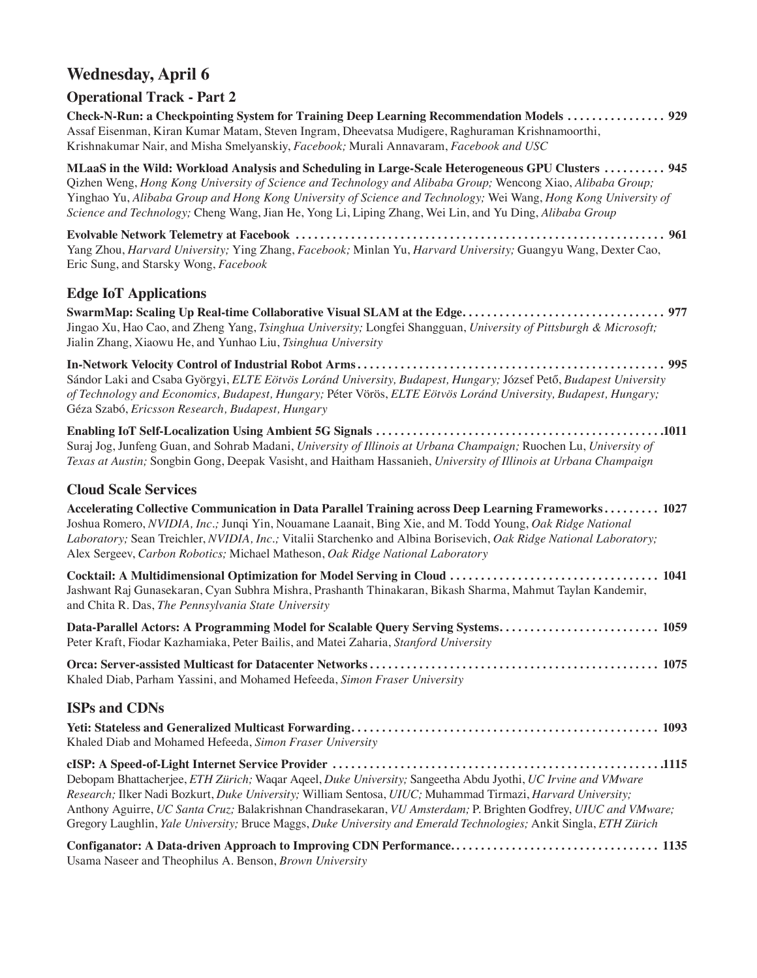## **Wednesday, April 6**

### **Operational Track - Part 2**

**Check-N-Run: a Checkpointing System for Training Deep Learning Recommendation Models . . . . . . . . . . . . . . . 929** Assaf Eisenman, Kiran Kumar Matam, Steven Ingram, Dheevatsa Mudigere, Raghuraman Krishnamoorthi, Krishnakumar Nair, and Misha Smelyanskiy, *Facebook;* Murali Annavaram, *Facebook and USC*

**MLaaS in the Wild: Workload Analysis and Scheduling in Large-Scale Heterogeneous GPU Clusters . . . . . . . . . . 945** Qizhen Weng, *Hong Kong University of Science and Technology and Alibaba Group;* Wencong Xiao, *Alibaba Group;*  Yinghao Yu, *Alibaba Group and Hong Kong University of Science and Technology;* Wei Wang, *Hong Kong University of Science and Technology;* Cheng Wang, Jian He, Yong Li, Liping Zhang, Wei Lin, and Yu Ding, *Alibaba Group*

**Evolvable Network Telemetry at Facebook . . . . . . . . . . . . . . . . . . . . . . . . . . . . . . . . . . . . . . . . . . . . . . . . . . . . . . . . . . . . 961** Yang Zhou, *Harvard University;* Ying Zhang, *Facebook;* Minlan Yu, *Harvard University;* Guangyu Wang, Dexter Cao, Eric Sung, and Starsky Wong, *Facebook*

### **Edge IoT Applications**

**SwarmMap: Scaling Up Real-time Collaborative Visual SLAM at the Edge . . . . . . . . . . . . . . . . . . . . . . . . . . . . . . . . 977** Jingao Xu, Hao Cao, and Zheng Yang, *Tsinghua University;* Longfei Shangguan, *University of Pittsburgh & Microsoft;*  Jialin Zhang, Xiaowu He, and Yunhao Liu, *Tsinghua University*

**In-Network Velocity Control of Industrial Robot Arms . . . . . . . . . . . . . . . . . . . . . . . . . . . . . . . . . . . . . . . . . . . . . . . . . . 995** Sándor Laki and Csaba Györgyi, *ELTE Eötvös Loránd University, Budapest, Hungary;* József Pető, *Budapest University of Technology and Economics, Budapest, Hungary;* Péter Vörös, *ELTE Eötvös Loránd University, Budapest, Hungary;*  Géza Szabó, *Ericsson Research, Budapest, Hungary*

**Enabling IoT Self-Localization Using Ambient 5G Signals . . . . . . . . . . . . . . . . . . . . . . . . . . . . . . . . . . . . . . . . . . . . . . 1011** Suraj Jog, Junfeng Guan, and Sohrab Madani, *University of Illinois at Urbana Champaign;* Ruochen Lu, *University of Texas at Austin;* Songbin Gong, Deepak Vasisht, and Haitham Hassanieh, *University of Illinois at Urbana Champaign*

#### **Cloud Scale Services**

| Accelerating Collective Communication in Data Parallel Training across Deep Learning Frameworks 1027<br>Joshua Romero, NVIDIA, Inc.; Junqi Yin, Nouamane Laanait, Bing Xie, and M. Todd Young, Oak Ridge National<br>Laboratory; Sean Treichler, NVIDIA, Inc.; Vitalii Starchenko and Albina Borisevich, Oak Ridge National Laboratory;<br>Alex Sergeev, Carbon Robotics; Michael Matheson, Oak Ridge National Laboratory |
|---------------------------------------------------------------------------------------------------------------------------------------------------------------------------------------------------------------------------------------------------------------------------------------------------------------------------------------------------------------------------------------------------------------------------|
| Jashwant Raj Gunasekaran, Cyan Subhra Mishra, Prashanth Thinakaran, Bikash Sharma, Mahmut Taylan Kandemir,<br>and Chita R. Das, The Pennsylvania State University                                                                                                                                                                                                                                                         |
| Data-Parallel Actors: A Programming Model for Scalable Query Serving Systems 1059<br>Peter Kraft, Fiodar Kazhamiaka, Peter Bailis, and Matei Zaharia, Stanford University                                                                                                                                                                                                                                                 |
| Khaled Diab, Parham Yassini, and Mohamed Hefeeda, Simon Fraser University                                                                                                                                                                                                                                                                                                                                                 |

#### **ISPs and CDNs**

| Khaled Diab and Mohamed Hefeeda, Simon Fraser University                                                           |
|--------------------------------------------------------------------------------------------------------------------|
|                                                                                                                    |
| Debopam Bhattacherjee, ETH Zürich; Waqar Aqeel, Duke University; Sangeetha Abdu Jyothi, UC Irvine and VMware       |
| Research; Ilker Nadi Bozkurt, Duke University; William Sentosa, UIUC; Muhammad Tirmazi, Harvard University;        |
| Anthony Aguirre, UC Santa Cruz; Balakrishnan Chandrasekaran, VU Amsterdam; P. Brighten Godfrey, UIUC and VMware;   |
| Gregory Laughlin, Yale University; Bruce Maggs, Duke University and Emerald Technologies; Ankit Singla, ETH Zürich |

**Configanator: A Data-driven Approach to Improving CDN Performance. . . . . . . . . . . . . . . . . . . . . . . . . . . . . . . . . . 1135** Usama Naseer and Theophilus A. Benson, *Brown University*